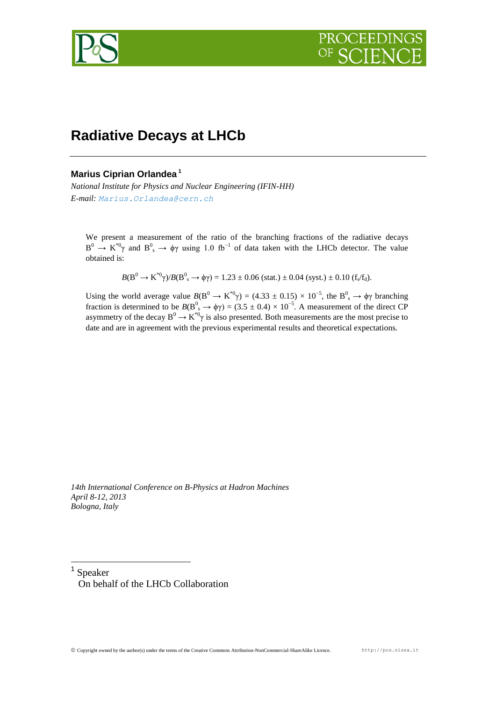

# **Radiative Decays at LHCb**

# **Marius Ciprian Orlandea <sup>1</sup>**

*National Institute for Physics and Nuclear Engineering (IFIN-HH) E-mail: Marius.Orlandea@cern.ch*

We present a measurement of the ratio of the branching fractions of the radiative decays  $B^0 \to K^{*0}\gamma$  and  $B^0_s \to \phi\gamma$  using 1.0 fb<sup>-1</sup> of data taken with the LHCb detector. The value obtained is:

 $B(B^0 \to K^{*0}\gamma)/B(B^0{}_s \to \phi\gamma) = 1.23 \pm 0.06$  (stat.)  $\pm$  0.04 (syst.)  $\pm$  0.10 (f<sub>s</sub>/f<sub>d</sub>).

Using the world average value  $B(B^0 \to K^{*0}\gamma) = (4.33 \pm 0.15) \times 10^{-5}$ , the  $B^0$ <sub>s</sub>  $\to \phi\gamma$  branching fraction is determined to be  $B(B^0_s \to \phi \gamma) = (3.5 \pm 0.4) \times 10^{-5}$ . A measurement of the direct CP asymmetry of the decay  $B^0 \to K^{*0} \gamma$  is also presented. Both measurements are the most precise to date and are in agreement with the previous experimental results and theoretical expectations.

*14th International Conference on B-Physics at Hadron Machines April 8-12, 2013 Bologna, Italy*

1 Speaker On behalf of the LHCb Collaboration

1

Copyright owned by the author(s) under the terms of the Creative Commons Attribution-NonCommercial-ShareAlike Licence. http://pos.sissa.it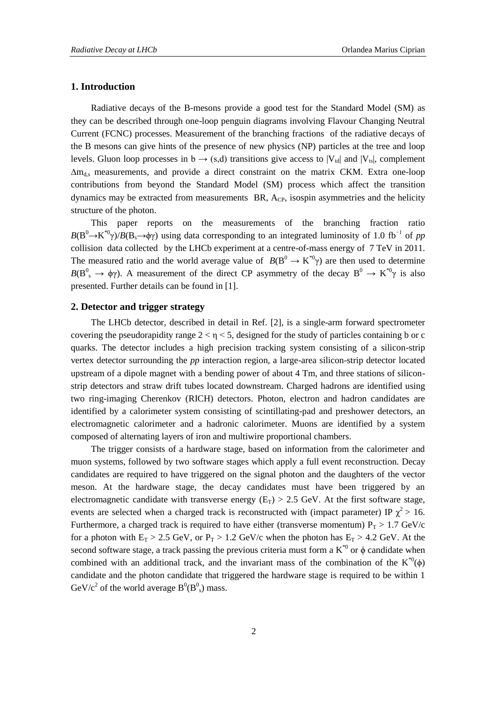# **1. Introduction**

Radiative decays of the B-mesons provide a good test for the Standard Model (SM) as they can be described through one-loop penguin diagrams involving Flavour Changing Neutral Current (FCNC) processes. Measurement of the branching fractions of the radiative decays of the B mesons can give hints of the presence of new physics (NP) particles at the tree and loop levels. Gluon loop processes in  $b \rightarrow (s,d)$  transitions give access to  $|V_{td}|$  and  $|V_{ts}|$ , complement  $\Delta m_{d,s}$  measurements, and provide a direct constraint on the matrix CKM. Extra one-loop contributions from beyond the Standard Model (SM) process which affect the transition dynamics may be extracted from measurements  $BR$ ,  $A_{CP}$ , isospin asymmetries and the helicity structure of the photon.

This paper reports on the measurements of the branching fraction ratio  $B(B^0 \to K^{*0}\gamma)/B(B_s \to \phi\gamma)$  using data corresponding to an integrated luminosity of 1.0 fb<sup>-1</sup> of *pp* collision data collected by the LHCb experiment at a centre-of-mass energy of 7 TeV in 2011. The measured ratio and the world average value of  $B(B^0 \to K^{*0}\gamma)$  are then used to determine  $B(B^0_s \to \phi \gamma)$ . A measurement of the direct CP asymmetry of the decay  $B^0 \to K^{*0} \gamma$  is also presented. Further details can be found in [1].

# **2. Detector and trigger strategy**

The LHCb detector, described in detail in Ref. [2], is a single-arm forward spectrometer covering the pseudorapidity range  $2 < \eta < 5$ , designed for the study of particles containing b or c quarks. The detector includes a high precision tracking system consisting of a silicon-strip vertex detector surrounding the *pp* interaction region, a large-area silicon-strip detector located upstream of a dipole magnet with a bending power of about 4 Tm, and three stations of siliconstrip detectors and straw drift tubes located downstream. Charged hadrons are identified using two ring-imaging Cherenkov (RICH) detectors. Photon, electron and hadron candidates are identified by a calorimeter system consisting of scintillating-pad and preshower detectors, an electromagnetic calorimeter and a hadronic calorimeter. Muons are identified by a system composed of alternating layers of iron and multiwire proportional chambers.

The trigger consists of a hardware stage, based on information from the calorimeter and muon systems, followed by two software stages which apply a full event reconstruction. Decay candidates are required to have triggered on the signal photon and the daughters of the vector meson. At the hardware stage, the decay candidates must have been triggered by an electromagnetic candidate with transverse energy  $(E_T) > 2.5$  GeV. At the first software stage, events are selected when a charged track is reconstructed with (impact parameter) IP  $\chi^2 > 16$ . Furthermore, a charged track is required to have either (transverse momentum)  $P_T > 1.7$  GeV/c for a photon with  $E_T > 2.5$  GeV, or  $P_T > 1.2$  GeV/c when the photon has  $E_T > 4.2$  GeV. At the second software stage, a track passing the previous criteria must form a  $K^{\ast 0}$  or  $\phi$  candidate when combined with an additional track, and the invariant mass of the combination of the  $K^{0}(\phi)$ candidate and the photon candidate that triggered the hardware stage is required to be within 1 GeV/ $c^2$  of the world average  $B^0(B^0_s)$  mass.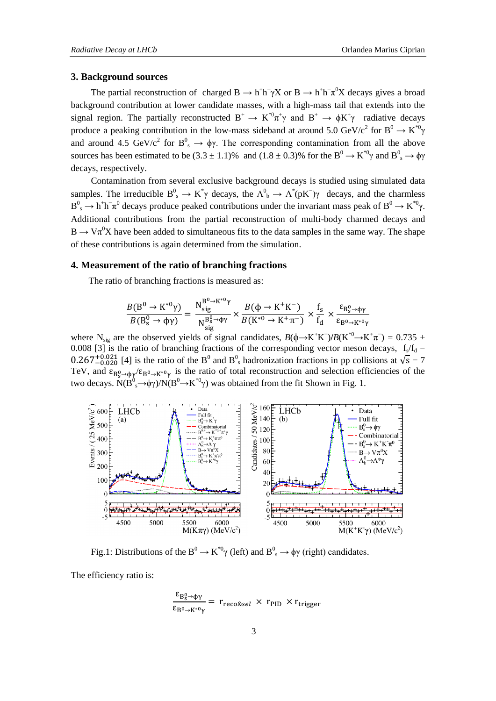### **3. Background sources**

The partial reconstruction of charged  $B \to h^+h^- \gamma X$  or  $B \to h^+h^- \pi^0 X$  decays gives a broad background contribution at lower candidate masses, with a high-mass tail that extends into the signal region. The partially reconstructed  $B^+ \to K^{*0}\pi^+\gamma$  and  $B^+ \to \phi K^+\gamma$  radiative decays produce a peaking contribution in the low-mass sideband at around 5.0 GeV/c<sup>2</sup> for B<sup>0</sup>  $\rightarrow$  K<sup>\*0</sup> $\gamma$ and around 4.5 GeV/c<sup>2</sup> for  $B^0$ <sub>s</sub>  $\rightarrow \phi \gamma$ . The corresponding contamination from all the above sources has been estimated to be  $(3.3 \pm 1.1)$ % and  $(1.8 \pm 0.3)$ % for the B<sup>0</sup>  $\rightarrow$  K<sup>\*0</sup>γ and B<sup>0</sup><sub>s</sub>  $\rightarrow$  φγ decays, respectively.

Contamination from several exclusive background decays is studied using simulated data samples. The irreducible  $B^0_s \to K^*\gamma$  decays, the  $\Lambda^0 \to \Lambda^*(pK^-)\gamma$  decays, and the charmless  $B^0_s \to h^+h^-\pi^0$  decays produce peaked contributions under the invariant mass peak of  $B^0 \to K^{*0}\gamma$ . Additional contributions from the partial reconstruction of multi-body charmed decays and  $B \to V \pi^0 X$  have been added to simultaneous fits to the data samples in the same way. The shape of these contributions is again determined from the simulation.

#### **4. Measurement of the ratio of branching fractions**

The ratio of branching fractions is measured as:

$$
\frac{B(B^0 \to K^{*0}\gamma)}{B(B^0_s \to \phi\gamma)} = \frac{N_{sig}^{B^0 \to K^{*0}\gamma}}{N_{sig}^{B_s^0 \to \phi\gamma}} \times \frac{B(\phi \to K^+K^-)}{B(K^{*0} \to K^+\pi^-)} \times \frac{f_s}{f_d} \times \frac{\epsilon_{B_s^0 \to \phi\gamma}}{\epsilon_{B^0 \to K^{*0}\gamma}}
$$

where N<sub>sig</sub> are the observed yields of signal candidates,  $B(\phi \rightarrow K^+K^-)/B(K^{*0} \rightarrow K^+\pi^-) = 0.735 \pm 0.735$ 0.008 [3] is the ratio of branching fractions of the corresponding vector meson decays,  $f_s/f_d =$  $0.267^{+0.021}_{-0.020}$  [4] is the ratio of the B<sup>0</sup> and B<sup>0</sup><sub>s</sub> hadronization fractions in pp collisions at  $\sqrt{s} = 7$ TeV, and  $\epsilon_{B_s^0 \to b\nu} / \epsilon_{B_s^0 \to K^{*0} \nu}$  is the ratio of total reconstruction and selection efficiencies of the two decays.  $\dot{N}(B^0_s \rightarrow \phi \gamma)/N(B^0 \rightarrow K^{*0} \gamma)$  was obtained from the fit Shown in Fig. 1.



Fig.1: Distributions of the B<sup>0</sup>  $\rightarrow$  K<sup>\*0</sup>γ (left) and B<sup>0</sup><sub>s</sub>  $\rightarrow$  φγ (right) candidates.

The efficiency ratio is:

$$
\frac{\varepsilon_{B_S^0 \to \phi\gamma}}{\varepsilon_{B^0 \to K^{*0}\gamma}} = r_{\text{reco\&\text{sel}}}\times r_{\text{PID}} \times r_{\text{trigger}}
$$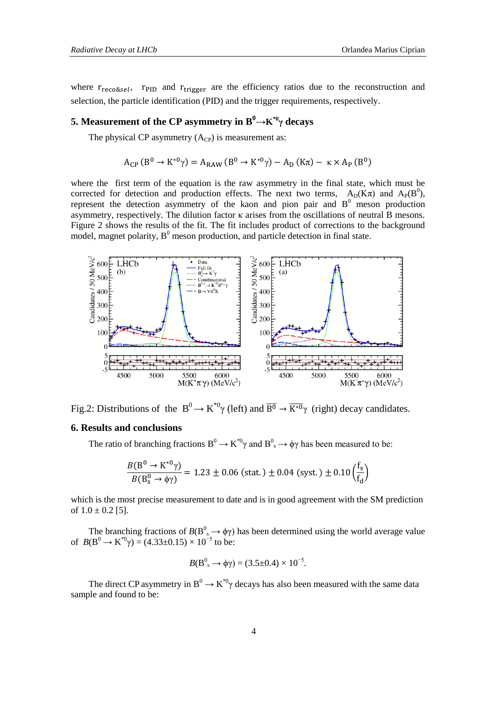where  $r_{reco\&sel}$ ,  $r_{PID}$  and  $r_{trigger}$  are the efficiency ratios due to the reconstruction and selection, the particle identification (PID) and the trigger requirements, respectively.

# **5.** Measurement of the CP asymmetry in  $\textbf{B}^0{\rightarrow}\textbf{K}^{*0}\gamma$  decays

The physical CP asymmetry  $(A_{CP})$  is measurement as:

$$
A_{\rm CP} \left( B^0 \to K^{*0} \gamma \right) = A_{\rm RAW} \left( B^0 \to K^{*0} \gamma \right) - A_{\rm D} \left( K \pi \right) - \kappa \times A_{\rm P} \left( B^0 \right)
$$

where the first term of the equation is the raw asymmetry in the final state, which must be corrected for detection and production effects. The next two terms,  $A_D(K\pi)$  and  $A_P(B^0)$ , represent the detection asymmetry of the kaon and pion pair and  $B<sup>0</sup>$  meson production asymmetry, respectively. The dilution factor  $\kappa$  arises from the oscillations of neutral B mesons. Figure 2 shows the results of the fit. The fit includes product of corrections to the background model, magnet polarity,  $B^0$  meson production, and particle detection in final state.



Fig.2: Distributions of the  $B^0 \to K^{*0}\gamma$  (left) and  $\overline{B^0} \to \overline{K^{*0}}\gamma$  (right) decay candidates.

# **6. Results and conclusions**

The ratio of branching fractions  $B^0 \to K^{*0}\gamma$  and  $B^0 \to \phi\gamma$  has been measured to be:

$$
\frac{B(B^0 \to K^{*0}\gamma)}{B(B_s^0 \to \phi\gamma)} = 1.23 \pm 0.06 \text{ (stat.)} \pm 0.04 \text{ (syst.)} \pm 0.10 \left(\frac{f_s}{f_d}\right)
$$

which is the most precise measurement to date and is in good agreement with the SM prediction of  $1.0 \pm 0.2$  [5].

The branching fractions of  $B(B^0_s \to \phi \gamma)$  has been determined using the world average value of  $B(B^0 \to K^{*0}\gamma) = (4.33 \pm 0.15) \times 10^{-5}$  to be:

$$
B(B^0s \rightarrow \phi \gamma) = (3.5 \pm 0.4) \times 10^{-5}.
$$

The direct CP asymmetry in  $B^0 \to K^{*0} \gamma$  decays has also been measured with the same data sample and found to be: